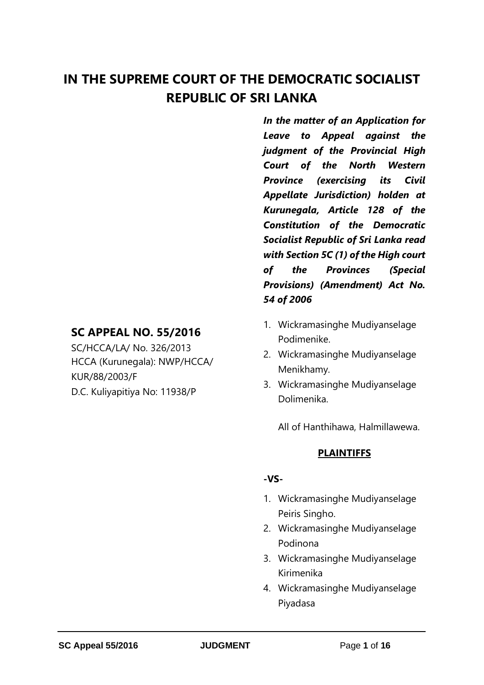# **IN THE SUPREME COURT OF THE DEMOCRATIC SOCIALIST REPUBLIC OF SRI LANKA**

# **SC APPEAL NO. 55/2016**

SC/HCCA/LA/ No. 326/2013 HCCA (Kurunegala): NWP/HCCA/ KUR/88/2003/F D.C. Kuliyapitiya No: 11938/P

*In the matter of an Application for Leave to Appeal against the judgment of the Provincial High Court of the North Western Province (exercising its Civil Appellate Jurisdiction) holden at Kurunegala, Article 128 of the Constitution of the Democratic Socialist Republic of Sri Lanka read with Section 5C (1) of the High court of the Provinces (Special Provisions) (Amendment) Act No. 54 of 2006*

- 1. Wickramasinghe Mudiyanselage Podimenike.
- 2. Wickramasinghe Mudiyanselage Menikhamy.
- 3. Wickramasinghe Mudiyanselage Dolimenika.

All of Hanthihawa, Halmillawewa.

# **PLAINTIFFS**

### **-VS-**

- 1. Wickramasinghe Mudiyanselage Peiris Singho.
- 2. Wickramasinghe Mudiyanselage Podinona
- 3. Wickramasinghe Mudiyanselage Kirimenika
- 4. Wickramasinghe Mudiyanselage Piyadasa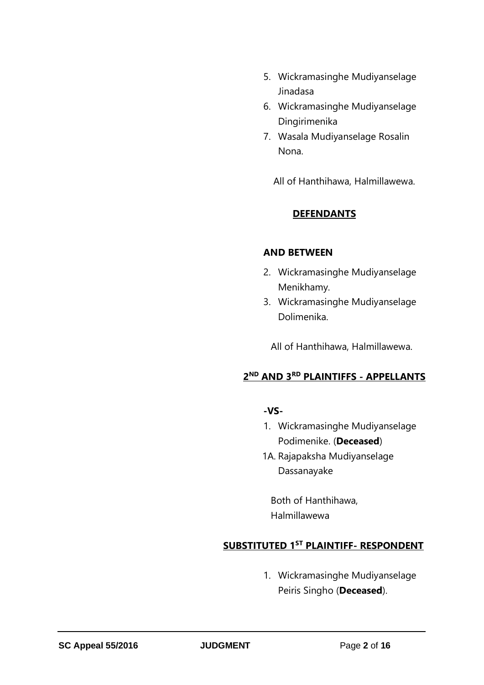- 5. Wickramasinghe Mudiyanselage Jinadasa
- 6. Wickramasinghe Mudiyanselage Dingirimenika
- 7. Wasala Mudiyanselage Rosalin Nona.

All of Hanthihawa, Halmillawewa.

### **DEFENDANTS**

#### **AND BETWEEN**

- 2. Wickramasinghe Mudiyanselage Menikhamy.
- 3. Wickramasinghe Mudiyanselage Dolimenika.

All of Hanthihawa, Halmillawewa.

### **2 ND AND 3RD PLAINTIFFS - APPELLANTS**

### **-VS-**

- 1. Wickramasinghe Mudiyanselage Podimenike. (**Deceased**)
- 1A. Rajapaksha Mudiyanselage Dassanayake

Both of Hanthihawa, Halmillawewa

### **SUBSTITUTED 1ST PLAINTIFF- RESPONDENT**

1. Wickramasinghe Mudiyanselage Peiris Singho (**Deceased**).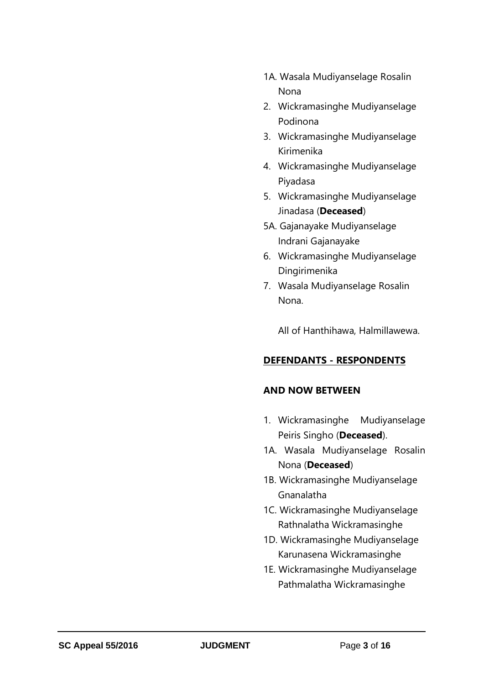- 1A. Wasala Mudiyanselage Rosalin Nona
- 2. Wickramasinghe Mudiyanselage Podinona
- 3. Wickramasinghe Mudiyanselage Kirimenika
- 4. Wickramasinghe Mudiyanselage Piyadasa
- 5. Wickramasinghe Mudiyanselage Jinadasa (**Deceased**)
- 5A. Gajanayake Mudiyanselage Indrani Gajanayake
- 6. Wickramasinghe Mudiyanselage Dingirimenika
- 7. Wasala Mudiyanselage Rosalin Nona.

All of Hanthihawa, Halmillawewa.

# **DEFENDANTS - RESPONDENTS**

### **AND NOW BETWEEN**

- 1. Wickramasinghe Mudiyanselage Peiris Singho (**Deceased**).
- 1A. Wasala Mudiyanselage Rosalin Nona (**Deceased**)
- 1B. Wickramasinghe Mudiyanselage Gnanalatha
- 1C. Wickramasinghe Mudiyanselage Rathnalatha Wickramasinghe
- 1D. Wickramasinghe Mudiyanselage Karunasena Wickramasinghe
- 1E. Wickramasinghe Mudiyanselage Pathmalatha Wickramasinghe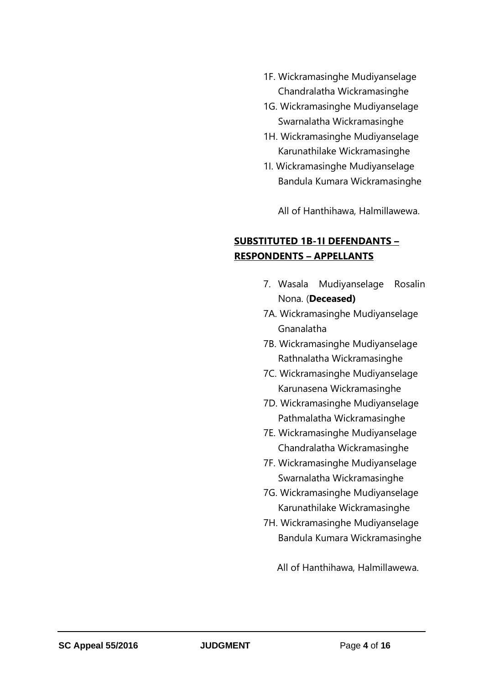- 1F. Wickramasinghe Mudiyanselage Chandralatha Wickramasinghe
- 1G. Wickramasinghe Mudiyanselage Swarnalatha Wickramasinghe
- 1H. Wickramasinghe Mudiyanselage Karunathilake Wickramasinghe
- 1I. Wickramasinghe Mudiyanselage Bandula Kumara Wickramasinghe

All of Hanthihawa, Halmillawewa.

# **SUBSTITUTED 1B-1I DEFENDANTS – RESPONDENTS – APPELLANTS**

- 7. Wasala Mudiyanselage Rosalin Nona. (**Deceased)**
- 7A. Wickramasinghe Mudiyanselage Gnanalatha
- 7B. Wickramasinghe Mudiyanselage Rathnalatha Wickramasinghe
- 7C. Wickramasinghe Mudiyanselage Karunasena Wickramasinghe
- 7D. Wickramasinghe Mudiyanselage Pathmalatha Wickramasinghe
- 7E. Wickramasinghe Mudiyanselage Chandralatha Wickramasinghe
- 7F. Wickramasinghe Mudiyanselage Swarnalatha Wickramasinghe
- 7G. Wickramasinghe Mudiyanselage Karunathilake Wickramasinghe
- 7H. Wickramasinghe Mudiyanselage Bandula Kumara Wickramasinghe

All of Hanthihawa, Halmillawewa.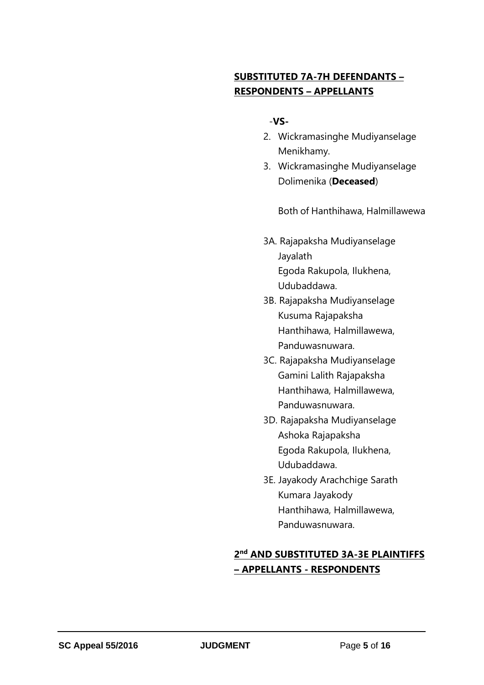# **SUBSTITUTED 7A-7H DEFENDANTS – RESPONDENTS – APPELLANTS**

### -**VS-**

- 2. Wickramasinghe Mudiyanselage Menikhamy.
- 3. Wickramasinghe Mudiyanselage Dolimenika (**Deceased**)

Both of Hanthihawa, Halmillawewa

- 3A. Rajapaksha Mudiyanselage Jayalath Egoda Rakupola, Ilukhena, Udubaddawa.
- 3B. Rajapaksha Mudiyanselage Kusuma Rajapaksha Hanthihawa, Halmillawewa, Panduwasnuwara.
- 3C. Rajapaksha Mudiyanselage Gamini Lalith Rajapaksha Hanthihawa, Halmillawewa, Panduwasnuwara.
- 3D. Rajapaksha Mudiyanselage Ashoka Rajapaksha Egoda Rakupola, Ilukhena, Udubaddawa.
- 3E. Jayakody Arachchige Sarath Kumara Jayakody Hanthihawa, Halmillawewa, Panduwasnuwara.

# **2 nd AND SUBSTITUTED 3A-3E PLAINTIFFS – APPELLANTS - RESPONDENTS**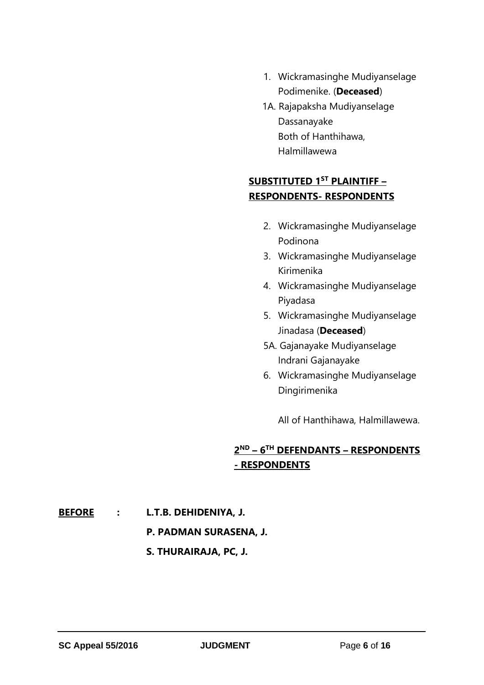- 1. Wickramasinghe Mudiyanselage Podimenike. (**Deceased**)
- 1A. Rajapaksha Mudiyanselage Dassanayake Both of Hanthihawa, Halmillawewa

# **SUBSTITUTED 1ST PLAINTIFF – RESPONDENTS- RESPONDENTS**

- 2. Wickramasinghe Mudiyanselage Podinona
- 3. Wickramasinghe Mudiyanselage Kirimenika
- 4. Wickramasinghe Mudiyanselage Piyadasa
- 5. Wickramasinghe Mudiyanselage Jinadasa (**Deceased**)
- 5A. Gajanayake Mudiyanselage Indrani Gajanayake
- 6. Wickramasinghe Mudiyanselage Dingirimenika

All of Hanthihawa, Halmillawewa.

# **2 ND – 6 TH DEFENDANTS – RESPONDENTS - RESPONDENTS**

**BEFORE : L.T.B. DEHIDENIYA, J.**

### **P. PADMAN SURASENA, J.**

### **S. THURAIRAJA, PC, J.**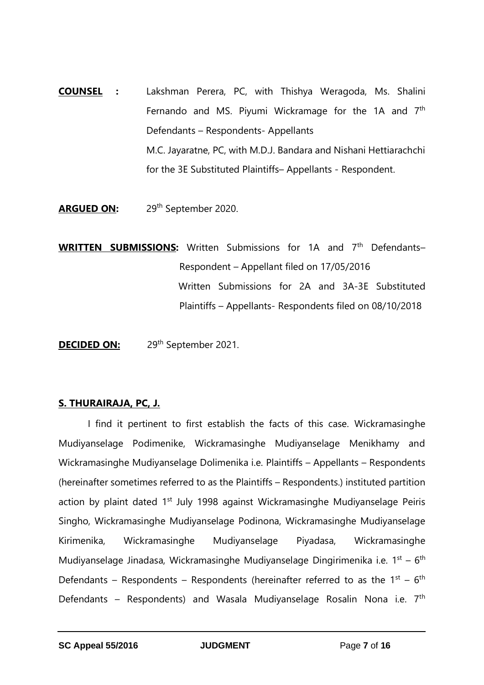- **COUNSEL :** Lakshman Perera, PC, with Thishya Weragoda, Ms. Shalini Fernando and MS. Piyumi Wickramage for the 1A and  $7<sup>th</sup>$ Defendants – Respondents- Appellants M.C. Jayaratne, PC, with M.D.J. Bandara and Nishani Hettiarachchi for the 3E Substituted Plaintiffs– Appellants - Respondent.
- **ARGUED ON:** 29th September 2020.

**WRITTEN SUBMISSIONS:** Written Submissions for 1A and 7<sup>th</sup> Defendants-Respondent – Appellant filed on 17/05/2016 Written Submissions for 2A and 3A-3E Substituted Plaintiffs – Appellants- Respondents filed on 08/10/2018

**DECIDED ON:** 29<sup>th</sup> September 2021.

### **S. THURAIRAJA, PC, J.**

I find it pertinent to first establish the facts of this case. Wickramasinghe Mudiyanselage Podimenike, Wickramasinghe Mudiyanselage Menikhamy and Wickramasinghe Mudiyanselage Dolimenika i.e. Plaintiffs – Appellants – Respondents (hereinafter sometimes referred to as the Plaintiffs – Respondents.) instituted partition action by plaint dated 1<sup>st</sup> July 1998 against Wickramasinghe Mudiyanselage Peiris Singho, Wickramasinghe Mudiyanselage Podinona, Wickramasinghe Mudiyanselage Kirimenika, Wickramasinghe Mudiyanselage Piyadasa, Wickramasinghe Mudiyanselage Jinadasa, Wickramasinghe Mudiyanselage Dingirimenika i.e.  $1^{st} - 6^{th}$ Defendants – Respondents – Respondents (hereinafter referred to as the  $1^{st}$  – 6<sup>th</sup> Defendants – Respondents) and Wasala Mudiyanselage Rosalin Nona i.e.  $7<sup>th</sup>$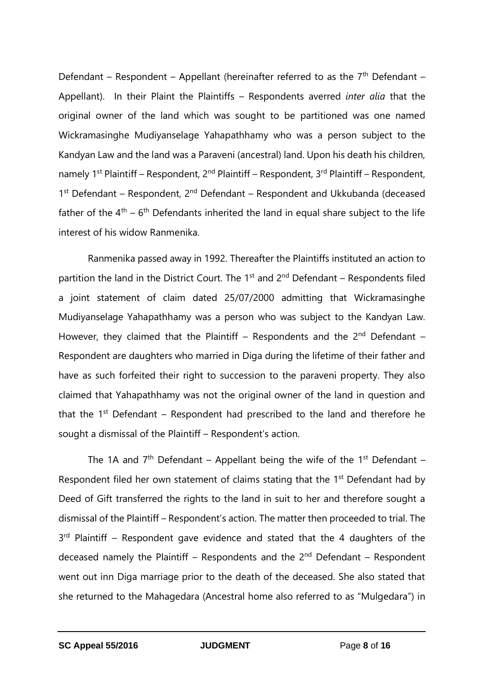Defendant – Respondent – Appellant (hereinafter referred to as the  $7<sup>th</sup>$  Defendant – Appellant). In their Plaint the Plaintiffs – Respondents averred *inter alia* that the original owner of the land which was sought to be partitioned was one named Wickramasinghe Mudiyanselage Yahapathhamy who was a person subject to the Kandyan Law and the land was a Paraveni (ancestral) land. Upon his death his children, namely  $1^{st}$  Plaintiff – Respondent,  $2^{nd}$  Plaintiff – Respondent,  $3^{rd}$  Plaintiff – Respondent, 1<sup>st</sup> Defendant – Respondent, 2<sup>nd</sup> Defendant – Respondent and Ukkubanda (deceased father of the  $4<sup>th</sup> - 6<sup>th</sup>$  Defendants inherited the land in equal share subject to the life interest of his widow Ranmenika.

Ranmenika passed away in 1992. Thereafter the Plaintiffs instituted an action to partition the land in the District Court. The  $1<sup>st</sup>$  and  $2<sup>nd</sup>$  Defendant – Respondents filed a joint statement of claim dated 25/07/2000 admitting that Wickramasinghe Mudiyanselage Yahapathhamy was a person who was subject to the Kandyan Law. However, they claimed that the Plaintiff – Respondents and the  $2^{nd}$  Defendant – Respondent are daughters who married in Diga during the lifetime of their father and have as such forfeited their right to succession to the paraveni property. They also claimed that Yahapathhamy was not the original owner of the land in question and that the  $1<sup>st</sup>$  Defendant – Respondent had prescribed to the land and therefore he sought a dismissal of the Plaintiff – Respondent's action.

The 1A and  $7<sup>th</sup>$  Defendant – Appellant being the wife of the 1<sup>st</sup> Defendant – Respondent filed her own statement of claims stating that the 1<sup>st</sup> Defendant had by Deed of Gift transferred the rights to the land in suit to her and therefore sought a dismissal of the Plaintiff – Respondent's action. The matter then proceeded to trial. The  $3<sup>rd</sup>$  Plaintiff – Respondent gave evidence and stated that the 4 daughters of the deceased namely the Plaintiff – Respondents and the  $2<sup>nd</sup>$  Defendant – Respondent went out inn Diga marriage prior to the death of the deceased. She also stated that she returned to the Mahagedara (Ancestral home also referred to as "Mulgedara") in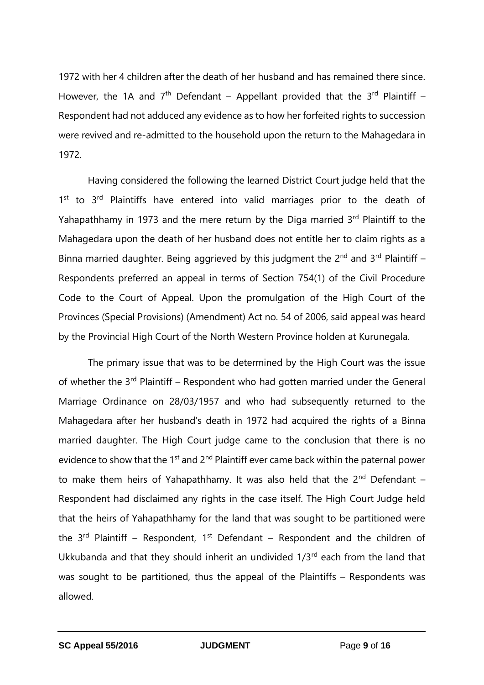1972 with her 4 children after the death of her husband and has remained there since. However, the 1A and  $7<sup>th</sup>$  Defendant – Appellant provided that the  $3<sup>rd</sup>$  Plaintiff – Respondent had not adduced any evidence as to how her forfeited rights to succession were revived and re-admitted to the household upon the return to the Mahagedara in 1972.

Having considered the following the learned District Court judge held that the 1<sup>st</sup> to 3<sup>rd</sup> Plaintiffs have entered into valid marriages prior to the death of Yahapathhamy in 1973 and the mere return by the Diga married  $3<sup>rd</sup>$  Plaintiff to the Mahagedara upon the death of her husband does not entitle her to claim rights as a Binna married daughter. Being aggrieved by this judgment the  $2^{nd}$  and  $3^{rd}$  Plaintiff – Respondents preferred an appeal in terms of Section 754(1) of the Civil Procedure Code to the Court of Appeal. Upon the promulgation of the High Court of the Provinces (Special Provisions) (Amendment) Act no. 54 of 2006, said appeal was heard by the Provincial High Court of the North Western Province holden at Kurunegala.

The primary issue that was to be determined by the High Court was the issue of whether the  $3^{rd}$  Plaintiff – Respondent who had gotten married under the General Marriage Ordinance on 28/03/1957 and who had subsequently returned to the Mahagedara after her husband's death in 1972 had acquired the rights of a Binna married daughter. The High Court judge came to the conclusion that there is no evidence to show that the 1<sup>st</sup> and 2<sup>nd</sup> Plaintiff ever came back within the paternal power to make them heirs of Yahapathhamy. It was also held that the  $2<sup>nd</sup>$  Defendant – Respondent had disclaimed any rights in the case itself. The High Court Judge held that the heirs of Yahapathhamy for the land that was sought to be partitioned were the  $3<sup>rd</sup>$  Plaintiff – Respondent, 1<sup>st</sup> Defendant – Respondent and the children of Ukkubanda and that they should inherit an undivided 1/3rd each from the land that was sought to be partitioned, thus the appeal of the Plaintiffs – Respondents was allowed.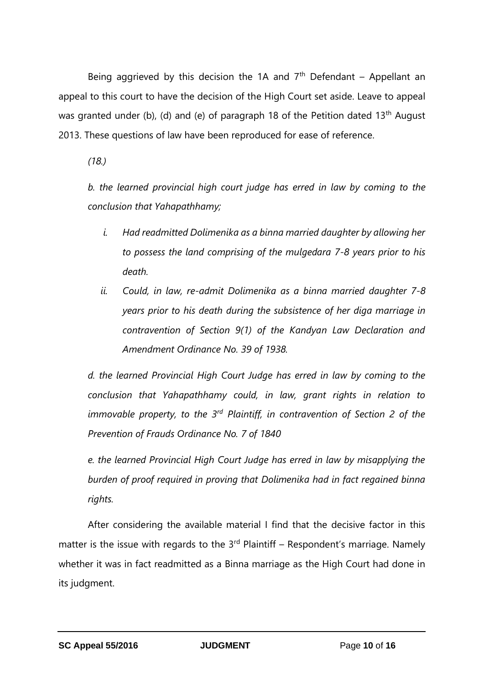Being aggrieved by this decision the 1A and  $7<sup>th</sup>$  Defendant – Appellant an appeal to this court to have the decision of the High Court set aside. Leave to appeal was granted under (b), (d) and (e) of paragraph 18 of the Petition dated 13<sup>th</sup> August 2013. These questions of law have been reproduced for ease of reference.

*(18.)*

*b. the learned provincial high court judge has erred in law by coming to the conclusion that Yahapathhamy;*

- *i. Had readmitted Dolimenika as a binna married daughter by allowing her to possess the land comprising of the mulgedara 7-8 years prior to his death.*
- *ii. Could, in law, re-admit Dolimenika as a binna married daughter 7-8 years prior to his death during the subsistence of her diga marriage in contravention of Section 9(1) of the Kandyan Law Declaration and Amendment Ordinance No. 39 of 1938.*

*d. the learned Provincial High Court Judge has erred in law by coming to the conclusion that Yahapathhamy could, in law, grant rights in relation to immovable property, to the 3rd Plaintiff, in contravention of Section 2 of the Prevention of Frauds Ordinance No. 7 of 1840*

*e. the learned Provincial High Court Judge has erred in law by misapplying the burden of proof required in proving that Dolimenika had in fact regained binna rights.*

After considering the available material I find that the decisive factor in this matter is the issue with regards to the  $3<sup>rd</sup>$  Plaintiff – Respondent's marriage. Namely whether it was in fact readmitted as a Binna marriage as the High Court had done in its judgment.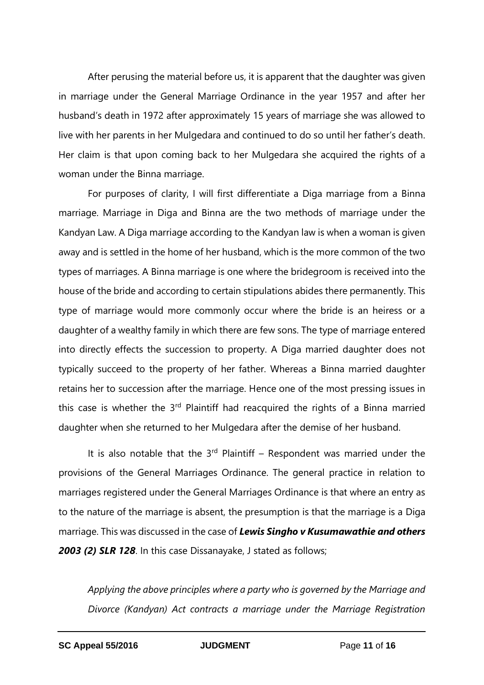After perusing the material before us, it is apparent that the daughter was given in marriage under the General Marriage Ordinance in the year 1957 and after her husband's death in 1972 after approximately 15 years of marriage she was allowed to live with her parents in her Mulgedara and continued to do so until her father's death. Her claim is that upon coming back to her Mulgedara she acquired the rights of a woman under the Binna marriage.

For purposes of clarity, I will first differentiate a Diga marriage from a Binna marriage. Marriage in Diga and Binna are the two methods of marriage under the Kandyan Law. A Diga marriage according to the Kandyan law is when a woman is given away and is settled in the home of her husband, which is the more common of the two types of marriages. A Binna marriage is one where the bridegroom is received into the house of the bride and according to certain stipulations abides there permanently. This type of marriage would more commonly occur where the bride is an heiress or a daughter of a wealthy family in which there are few sons. The type of marriage entered into directly effects the succession to property. A Diga married daughter does not typically succeed to the property of her father. Whereas a Binna married daughter retains her to succession after the marriage. Hence one of the most pressing issues in this case is whether the  $3<sup>rd</sup>$  Plaintiff had reacquired the rights of a Binna married daughter when she returned to her Mulgedara after the demise of her husband.

It is also notable that the  $3<sup>rd</sup>$  Plaintiff – Respondent was married under the provisions of the General Marriages Ordinance. The general practice in relation to marriages registered under the General Marriages Ordinance is that where an entry as to the nature of the marriage is absent, the presumption is that the marriage is a Diga marriage. This was discussed in the case of *Lewis Singho v Kusumawathie and others 2003 (2) SLR 128*. In this case Dissanayake, J stated as follows;

*Applying the above principles where a party who is governed by the Marriage and Divorce (Kandyan) Act contracts a marriage under the Marriage Registration*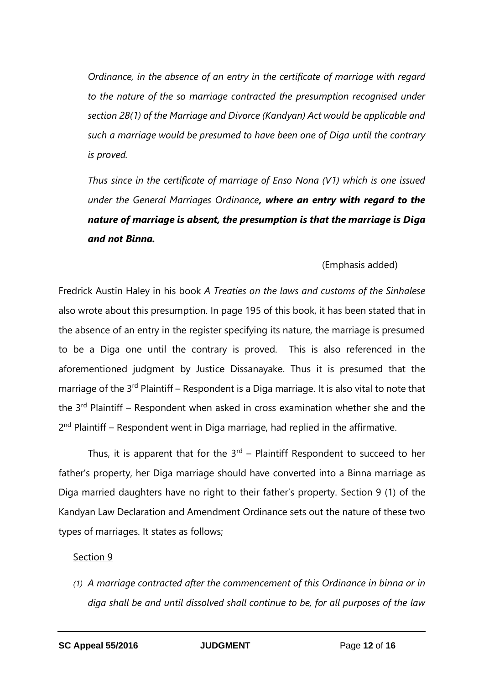*Ordinance, in the absence of an entry in the certificate of marriage with regard to the nature of the so marriage contracted the presumption recognised under section 28(1) of the Marriage and Divorce (Kandyan) Act would be applicable and such a marriage would be presumed to have been one of Diga until the contrary is proved.*

*Thus since in the certificate of marriage of Enso Nona (V1) which is one issued under the General Marriages Ordinance, where an entry with regard to the nature of marriage is absent, the presumption is that the marriage is Diga and not Binna.*

### (Emphasis added)

Fredrick Austin Haley in his book *A Treaties on the laws and customs of the Sinhalese*  also wrote about this presumption. In page 195 of this book, it has been stated that in the absence of an entry in the register specifying its nature, the marriage is presumed to be a Diga one until the contrary is proved. This is also referenced in the aforementioned judgment by Justice Dissanayake. Thus it is presumed that the marriage of the 3<sup>rd</sup> Plaintiff – Respondent is a Diga marriage. It is also vital to note that the 3<sup>rd</sup> Plaintiff - Respondent when asked in cross examination whether she and the 2<sup>nd</sup> Plaintiff – Respondent went in Diga marriage, had replied in the affirmative.

Thus, it is apparent that for the  $3<sup>rd</sup>$  – Plaintiff Respondent to succeed to her father's property, her Diga marriage should have converted into a Binna marriage as Diga married daughters have no right to their father's property. Section 9 (1) of the Kandyan Law Declaration and Amendment Ordinance sets out the nature of these two types of marriages. It states as follows;

#### Section 9

*(1) A marriage contracted after the commencement of this Ordinance in binna or in diga shall be and until dissolved shall continue to be, for all purposes of the law*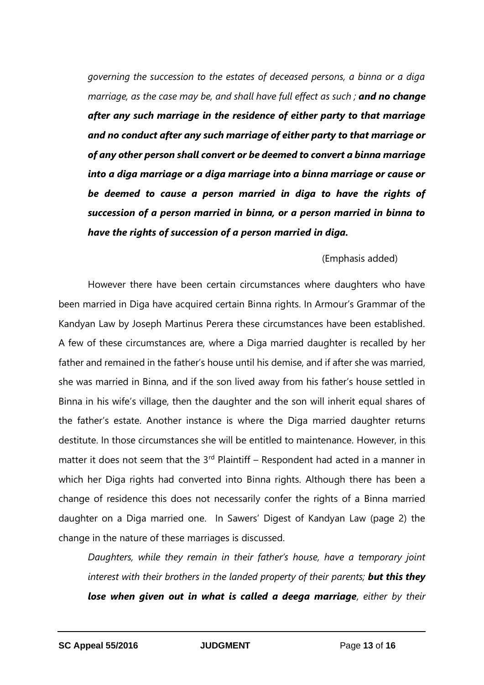*governing the succession to the estates of deceased persons, a binna or a diga marriage, as the case may be, and shall have full effect as such ; and no change after any such marriage in the residence of either party to that marriage and no conduct after any such marriage of either party to that marriage or of any other person shall convert or be deemed to convert a binna marriage into a diga marriage or a diga marriage into a binna marriage or cause or be deemed to cause a person married in diga to have the rights of succession of a person married in binna, or a person married in binna to have the rights of succession of a person married in diga.*

### (Emphasis added)

However there have been certain circumstances where daughters who have been married in Diga have acquired certain Binna rights. In Armour's Grammar of the Kandyan Law by Joseph Martinus Perera these circumstances have been established. A few of these circumstances are, where a Diga married daughter is recalled by her father and remained in the father's house until his demise, and if after she was married, she was married in Binna, and if the son lived away from his father's house settled in Binna in his wife's village, then the daughter and the son will inherit equal shares of the father's estate. Another instance is where the Diga married daughter returns destitute. In those circumstances she will be entitled to maintenance. However, in this matter it does not seem that the  $3<sup>rd</sup>$  Plaintiff – Respondent had acted in a manner in which her Diga rights had converted into Binna rights. Although there has been a change of residence this does not necessarily confer the rights of a Binna married daughter on a Diga married one. In Sawers' Digest of Kandyan Law (page 2) the change in the nature of these marriages is discussed.

*Daughters, while they remain in their father's house, have a temporary joint interest with their brothers in the landed property of their parents; but this they lose when given out in what is called a deega marriage, either by their*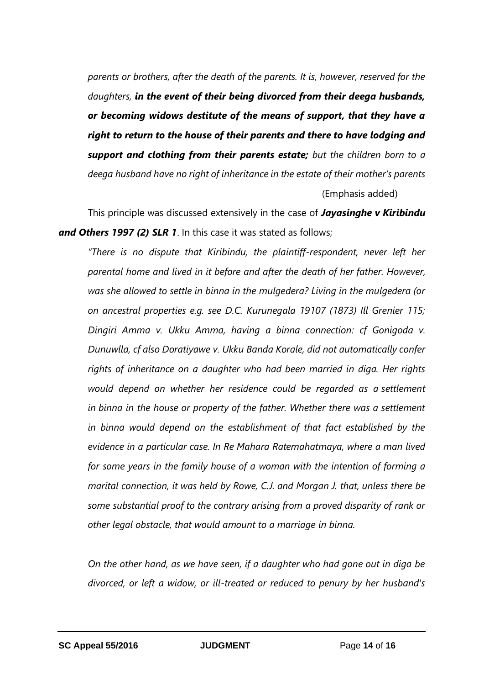*parents or brothers, after the death of the parents. It is, however, reserved for the daughters, in the event of their being divorced from their deega husbands, or becoming widows destitute of the means of support, that they have a right to return to the house of their parents and there to have lodging and support and clothing from their parents estate; but the children born to a deega husband have no right of inheritance in the estate of their mother's parents* (Emphasis added)

This principle was discussed extensively in the case of *Jayasinghe v Kiribindu and Others 1997 (2) SLR 1*. In this case it was stated as follows;

*"There is no dispute that Kiribindu, the plaintiff-respondent, never left her parental home and lived in it before and after the death of her father. However, was she allowed to settle in binna in the mulgedera? Living in the mulgedera (or on ancestral properties e.g. see D.C. Kurunegala 19107 (1873) Ill Grenier 115; Dingiri Amma v. Ukku Amma, having a binna connection: cf Gonigoda v. Dunuwlla, cf also Doratiyawe v. Ukku Banda Korale, did not automatically confer rights of inheritance on a daughter who had been married in diga. Her rights would depend on whether her residence could be regarded as a settlement in binna in the house or property of the father. Whether there was a settlement in binna would depend on the establishment of that fact established by the evidence in a particular case. In Re Mahara Ratemahatmaya, where a man lived for some years in the family house of a woman with the intention of forming a marital connection, it was held by Rowe, C.J. and Morgan J. that, unless there be some substantial proof to the contrary arising from a proved disparity of rank or other legal obstacle, that would amount to a marriage in binna.*

*On the other hand, as we have seen, if a daughter who had gone out in diga be divorced, or left a widow, or ill-treated or reduced to penury by her husband's*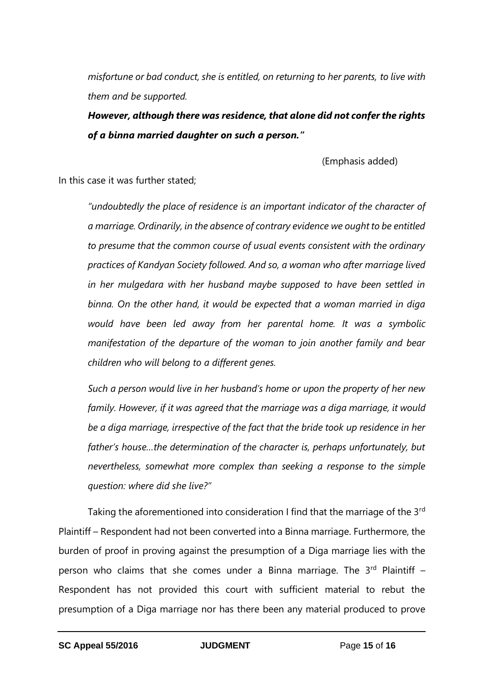*misfortune or bad conduct, she is entitled, on returning to her parents, to live with them and be supported.*

*However, although there was residence, that alone did not confer the rights of a binna married daughter on such a person."*

(Emphasis added)

In this case it was further stated;

*"undoubtedly the place of residence is an important indicator of the character of a marriage. Ordinarily, in the absence of contrary evidence we ought to be entitled to presume that the common course of usual events consistent with the ordinary practices of Kandyan Society followed. And so, a woman who after marriage lived in her mulgedara with her husband maybe supposed to have been settled in binna. On the other hand, it would be expected that a woman married in diga would have been led away from her parental home. It was a symbolic manifestation of the departure of the woman to join another family and bear children who will belong to a different genes.* 

*Such a person would live in her husband's home or upon the property of her new family. However, if it was agreed that the marriage was a diga marriage, it would be a diga marriage, irrespective of the fact that the bride took up residence in her father's house…the determination of the character is, perhaps unfortunately, but nevertheless, somewhat more complex than seeking a response to the simple question: where did she live?"*

Taking the aforementioned into consideration I find that the marriage of the 3<sup>rd</sup> Plaintiff – Respondent had not been converted into a Binna marriage. Furthermore, the burden of proof in proving against the presumption of a Diga marriage lies with the person who claims that she comes under a Binna marriage. The  $3<sup>rd</sup>$  Plaintiff – Respondent has not provided this court with sufficient material to rebut the presumption of a Diga marriage nor has there been any material produced to prove